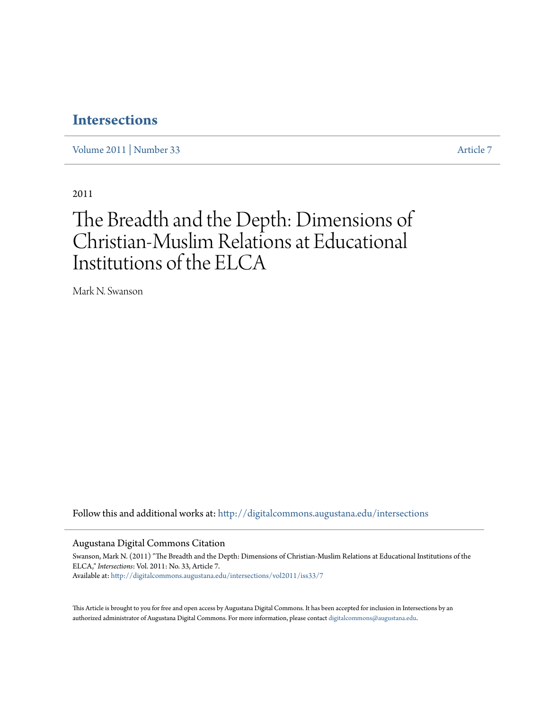### **[Intersections](http://digitalcommons.augustana.edu/intersections?utm_source=digitalcommons.augustana.edu%2Fintersections%2Fvol2011%2Fiss33%2F7&utm_medium=PDF&utm_campaign=PDFCoverPages)**

[Volume 2011](http://digitalcommons.augustana.edu/intersections/vol2011?utm_source=digitalcommons.augustana.edu%2Fintersections%2Fvol2011%2Fiss33%2F7&utm_medium=PDF&utm_campaign=PDFCoverPages) | [Number 33](http://digitalcommons.augustana.edu/intersections/vol2011/iss33?utm_source=digitalcommons.augustana.edu%2Fintersections%2Fvol2011%2Fiss33%2F7&utm_medium=PDF&utm_campaign=PDFCoverPages) [Article 7](http://digitalcommons.augustana.edu/intersections/vol2011/iss33/7?utm_source=digitalcommons.augustana.edu%2Fintersections%2Fvol2011%2Fiss33%2F7&utm_medium=PDF&utm_campaign=PDFCoverPages)

2011

## The Breadth and the Depth: Dimensions of Christian-Muslim Relations at Educational Institutions of the ELCA

Mark N. Swanson

Follow this and additional works at: [http://digitalcommons.augustana.edu/intersections](http://digitalcommons.augustana.edu/intersections?utm_source=digitalcommons.augustana.edu%2Fintersections%2Fvol2011%2Fiss33%2F7&utm_medium=PDF&utm_campaign=PDFCoverPages)

Augustana Digital Commons Citation

Swanson, Mark N. (2011) "The Breadth and the Depth: Dimensions of Christian-Muslim Relations at Educational Institutions of the ELCA," *Intersections*: Vol. 2011: No. 33, Article 7. Available at: [http://digitalcommons.augustana.edu/intersections/vol2011/iss33/7](http://digitalcommons.augustana.edu/intersections/vol2011/iss33/7?utm_source=digitalcommons.augustana.edu%2Fintersections%2Fvol2011%2Fiss33%2F7&utm_medium=PDF&utm_campaign=PDFCoverPages)

This Article is brought to you for free and open access by Augustana Digital Commons. It has been accepted for inclusion in Intersections by an authorized administrator of Augustana Digital Commons. For more information, please contact [digitalcommons@augustana.edu.](mailto:digitalcommons@augustana.edu)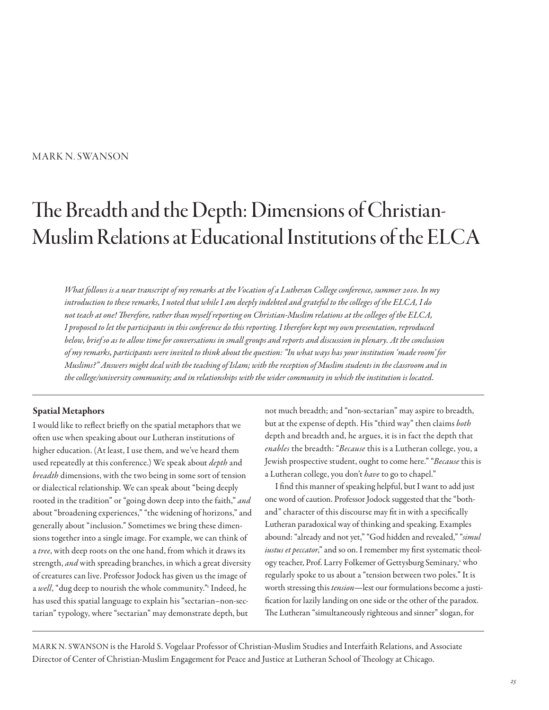#### MARK N. SWANSON

# The Breadth and the Depth: Dimensions of Christian-Muslim Relations at Educational Institutions of the ELCA

What follows is a near transcript of my remarks at the Vocation of a Lutheran College conference, summer 2010. In my introduction to these remarks, I noted that while I am deeply indebted and grateful to the colleges of the ELCA, I do not teach at one! Terefore, rather than myself reporting on Christian-Muslim relations at the colleges of the ELCA, I proposed to let the participants in this conference do this reporting. I therefore kept my own presentation, reproduced below, brief so as to allow time for conversations in small groups and reports and discussion in plenary. At the conclusion of my remarks, participants were invited to think about the question: "In what ways has your institution 'made room' for Muslims?" Answers might deal with the teaching of Islam; with the reception of Muslim students in the classroom and in the college/university community; and in relationships with the wider community in which the institution is located.

#### Spatial Metaphors

I would like to refect briefy on the spatial metaphors that we ofen use when speaking about our Lutheran institutions of higher education. (At least, I use them, and we've heard them used repeatedly at this conference.) We speak about depth and breadth dimensions, with the two being in some sort of tension or dialectical relationship. We can speak about "being deeply rooted in the tradition" or "going down deep into the faith," and about "broadening experiences," "the widening of horizons," and generally about "inclusion." Sometimes we bring these dimensions together into a single image. For example, we can think of a tree, with deep roots on the one hand, from which it draws its strength, and with spreading branches, in which a great diversity of creatures can live. Professor Jodock has given us the image of a well, "dug deep to nourish the whole community." Indeed, he has used this spatial language to explain his "sectarian–non-sectarian" typology, where "sectarian" may demonstrate depth, but

not much breadth; and "non-sectarian" may aspire to breadth, but at the expense of depth. His "third way" then claims both depth and breadth and, he argues, it is in fact the depth that enables the breadth: "Because this is a Lutheran college, you, a Jewish prospective student, ought to come here." "Because this is a Lutheran college, you don't have to go to chapel."

I fnd this manner of speaking helpful, but I want to add just one word of caution. Professor Jodock suggested that the "bothand" character of this discourse may ft in with a specifcally Lutheran paradoxical way of thinking and speaking. Examples abound: "already and not yet," "God hidden and revealed," "simul iustus et peccator," and so on. I remember my first systematic theology teacher, Prof. Larry Folkemer of Gettysburg Seminary,<sup>2</sup> who regularly spoke to us about a "tension between two poles." It is worth stressing this *tension*—lest our formulations become a justifcation for lazily landing on one side or the other of the paradox. The Lutheran "simultaneously righteous and sinner" slogan, for

MARK N. SWANSON is the Harold S. Vogelaar Professor of Christian-Muslim Studies and Interfaith Relations, and Associate Director of Center of Christian-Muslim Engagement for Peace and Justice at Lutheran School of Theology at Chicago.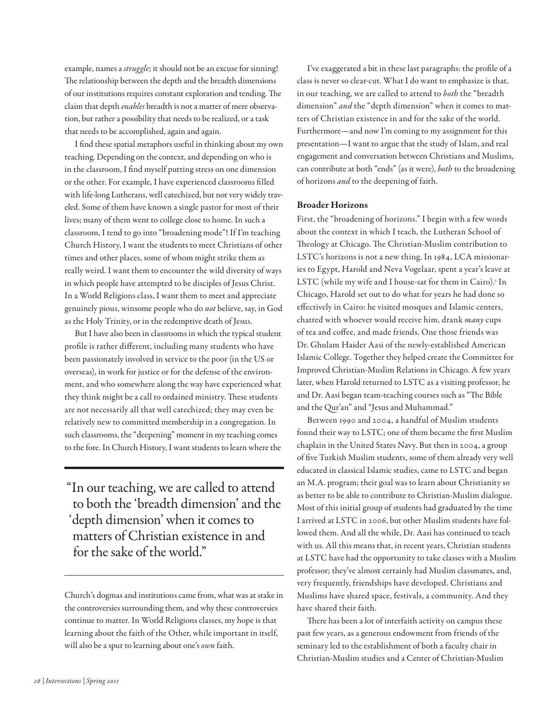example, names a struggle; it should not be an excuse for sinning! The relationship between the depth and the breadth dimensions of our institutions requires constant exploration and tending. The claim that depth enables breadth is not a matter of mere observation, but rather a possibility that needs to be realized, or a task that needs to be accomplished, again and again.

I fnd these spatial metaphors useful in thinking about my own teaching. Depending on the context, and depending on who is in the classroom, I fnd myself putting stress on one dimension or the other. For example, I have experienced classrooms flled with life-long Lutherans, well catechized, but not very widely traveled. Some of them have known a single pastor for most of their lives; many of them went to college close to home. In such a classroom, I tend to go into "broadening mode"! If I'm teaching Church History, I want the students to meet Christians of other times and other places, some of whom might strike them as really weird. I want them to encounter the wild diversity of ways in which people have attempted to be disciples of Jesus Christ. In a World Religions class, I want them to meet and appreciate genuinely pious, winsome people who do not believe, say, in God as the Holy Trinity, or in the redemptive death of Jesus.

But I have also been in classrooms in which the typical student profle is rather diferent, including many students who have been passionately involved in service to the poor (in the US or overseas), in work for justice or for the defense of the environment, and who somewhere along the way have experienced what they think might be a call to ordained ministry. These students are not necessarily all that well catechized; they may even be relatively new to committed membership in a congregation. In such classrooms, the "deepening" moment in my teaching comes to the fore. In Church History, I want students to learn where the

"In our teaching, we are called to attend to both the 'breadth dimension' and the 'depth dimension' when it comes to matters of Christian existence in and for the sake of the world."

I've exaggerated a bit in these last paragraphs: the profle of a class is never so clear-cut. What I do want to emphasize is that, in our teaching, we are called to attend to both the "breadth dimension" and the "depth dimension" when it comes to matters of Christian existence in and for the sake of the world. Furthermore—and now I'm coming to my assignment for this presentation—I want to argue that the study of Islam, and real engagement and conversation between Christians and Muslims, can contribute at both "ends" (as it were), both to the broadening of horizons *and* to the deepening of faith.

#### Broader Horizons

First, the "broadening of horizons." I begin with a few words about the context in which I teach, the Lutheran School of Theology at Chicago. The Christian-Muslim contribution to LSTC's horizons is not a new thing. In 1984, LCA missionaries to Egypt, Harold and Neva Vogelaar, spent a year's leave at LSTC (while my wife and I house-sat for them in Cairo).<sup>3</sup> In Chicago, Harold set out to do what for years he had done so efectively in Cairo: he visited mosques and Islamic centers, chatted with whoever would receive him, drank many cups of tea and cofee, and made friends. One those friends was Dr. Ghulam Haider Aasi of the newly-established American Islamic College. Together they helped create the Committee for Improved Christian-Muslim Relations in Chicago. A few years later, when Harold returned to LSTC as a visiting professor, he and Dr. Aasi began team-teaching courses such as "The Bible and the Qur'an" and "Jesus and Muhammad."

Between 1990 and 2004, a handful of Muslim students found their way to LSTC; one of them became the frst Muslim chaplain in the United States Navy. But then in 2004, a group of fve Turkish Muslim students, some of them already very well educated in classical Islamic studies, came to LSTC and began an M.A. program; their goal was to learn about Christianity so as better to be able to contribute to Christian-Muslim dialogue. Most of this initial group of students had graduated by the time I arrived at LSTC in 2006, but other Muslim students have followed them. And all the while, Dr. Aasi has continued to teach with us. All this means that, in recent years, Christian students at LSTC have had the opportunity to take classes with a Muslim professor; they've almost certainly had Muslim classmates, and, very frequently, friendships have developed. Christians and Muslims have shared space, festivals, a community. And they have shared their faith.

There has been a lot of interfaith activity on campus these past few years, as a generous endowment from friends of the seminary led to the establishment of both a faculty chair in Christian-Muslim studies and a Center of Christian-Muslim

Church's dogmas and institutions came from, what was at stake in the controversies surrounding them, and why these controversies continue to matter. In World Religions classes, my hope is that learning about the faith of the Other, while important in itself, will also be a spur to learning about one's own faith.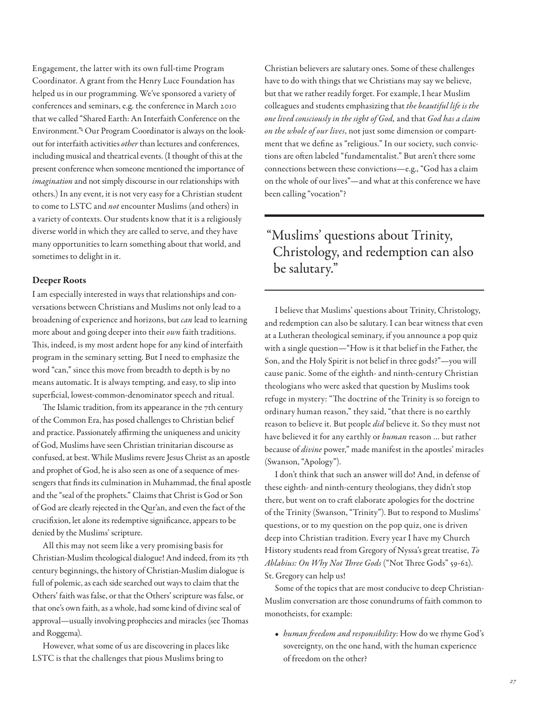Engagement, the latter with its own full-time Program Coordinator. A grant from the Henry Luce Foundation has helped us in our programming. We've sponsored a variety of conferences and seminars, e.g. the conference in March 2010 that we called "Shared Earth: An Interfaith Conference on the Environment."<sup>4</sup> Our Program Coordinator is always on the lookout for interfaith activities other than lectures and conferences, including musical and theatrical events. (I thought of this at the present conference when someone mentioned the importance of imagination and not simply discourse in our relationships with others.) In any event, it is not very easy for a Christian student to come to LSTC and not encounter Muslims (and others) in a variety of contexts. Our students know that it is a religiously diverse world in which they are called to serve, and they have many opportunities to learn something about that world, and sometimes to delight in it.

#### Deeper Roots

I am especially interested in ways that relationships and conversations between Christians and Muslims not only lead to a broadening of experience and horizons, but *can* lead to learning more about and going deeper into their own faith traditions. This, indeed, is my most ardent hope for any kind of interfaith program in the seminary setting. But I need to emphasize the word "can," since this move from breadth to depth is by no means automatic. It is always tempting, and easy, to slip into superfcial, lowest-common-denominator speech and ritual.

The Islamic tradition, from its appearance in the  $7$ th century of the Common Era, has posed challenges to Christian belief and practice. Passionately affirming the uniqueness and unicity of God, Muslims have seen Christian trinitarian discourse as confused, at best. While Muslims revere Jesus Christ as an apostle and prophet of God, he is also seen as one of a sequence of messengers that fnds its culmination in Muhammad, the fnal apostle and the "seal of the prophets." Claims that Christ is God or Son of God are clearly rejected in the Qur'an, and even the fact of the crucifxion, let alone its redemptive signifcance, appears to be denied by the Muslims' scripture.

All this may not seem like a very promising basis for Christian-Muslim theological dialogue! And indeed, from its 7th century beginnings, the history of Christian-Muslim dialogue is full of polemic, as each side searched out ways to claim that the Others' faith was false, or that the Others' scripture was false, or that one's own faith, as a whole, had some kind of divine seal of approval—usually involving prophecies and miracles (see Thomas and Roggema).

However, what some of us are discovering in places like LSTC is that the challenges that pious Muslims bring to

Christian believers are salutary ones. Some of these challenges have to do with things that we Christians may say we believe, but that we rather readily forget. For example, I hear Muslim colleagues and students emphasizing that the beautiful life is the one lived consciously in the sight of God, and that God has a claim on the whole of our lives, not just some dimension or compartment that we defne as "religious." In our society, such convictions are ofen labeled "fundamentalist." But aren't there some connections between these convictions—e.g., "God has a claim on the whole of our lives"—and what at this conference we have been calling "vocation"?

## "Muslims' questions about Trinity, Christology, and redemption can also be salutary."

I believe that Muslims' questions about Trinity, Christology, and redemption can also be salutary. I can bear witness that even at a Lutheran theological seminary, if you announce a pop quiz with a single question—"How is it that belief in the Father, the Son, and the Holy Spirit is not belief in three gods?"—you will cause panic. Some of the eighth- and ninth-century Christian theologians who were asked that question by Muslims took refuge in mystery: "The doctrine of the Trinity is so foreign to ordinary human reason," they said, "that there is no earthly reason to believe it. But people did believe it. So they must not have believed it for any earthly or human reason ... but rather because of divine power," made manifest in the apostles' miracles (Swanson, "Apology").

I don't think that such an answer will do! And, in defense of these eighth- and ninth-century theologians, they didn't stop there, but went on to craft elaborate apologies for the doctrine of the Trinity (Swanson, "Trinity"). But to respond to Muslims' questions, or to my question on the pop quiz, one is driven deep into Christian tradition. Every year I have my Church History students read from Gregory of Nyssa's great treatise, To Ablabius: On Why Not Three Gods ("Not Three Gods" 59-62). St. Gregory can help us!

Some of the topics that are most conducive to deep Christian-Muslim conversation are those conundrums of faith common to monotheists, for example:

• human freedom and responsibility: How do we rhyme God's sovereignty, on the one hand, with the human experience of freedom on the other?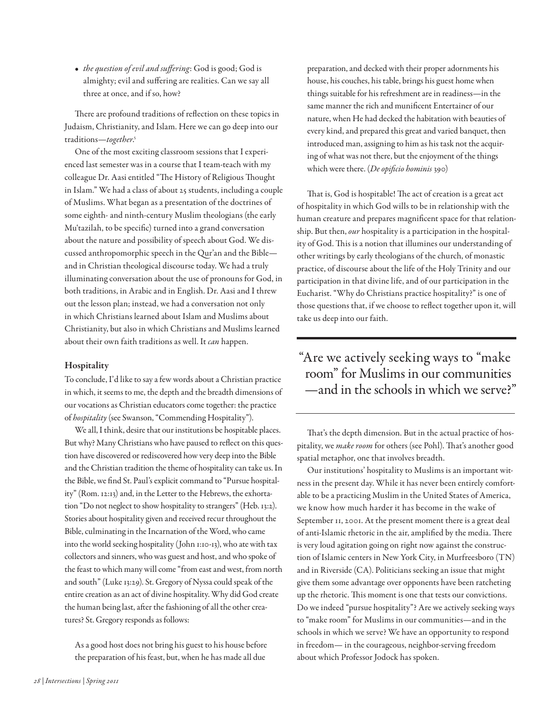• the question of evil and suffering: God is good; God is almighty; evil and sufering are realities. Can we say all three at once, and if so, how?

There are profound traditions of reflection on these topics in Judaism, Christianity, and Islam. Here we can go deep into our traditions—together. 5

One of the most exciting classroom sessions that I experienced last semester was in a course that I team-teach with my colleague Dr. Aasi entitled "The History of Religious Thought in Islam." We had a class of about 25 students, including a couple of Muslims. What began as a presentation of the doctrines of some eighth- and ninth-century Muslim theologians (the early Mu'tazilah, to be specifc) turned into a grand conversation about the nature and possibility of speech about God. We discussed anthropomorphic speech in the Qur'an and the Bible and in Christian theological discourse today. We had a truly illuminating conversation about the use of pronouns for God, in both traditions, in Arabic and in English. Dr. Aasi and I threw out the lesson plan; instead, we had a conversation not only in which Christians learned about Islam and Muslims about Christianity, but also in which Christians and Muslims learned about their own faith traditions as well. It can happen.

#### Hospitality

To conclude, I'd like to say a few words about a Christian practice in which, it seems to me, the depth and the breadth dimensions of our vocations as Christian educators come together: the practice of hospitality (see Swanson, "Commending Hospitality").

We all, I think, desire that our institutions be hospitable places. But why? Many Christians who have paused to refect on this question have discovered or rediscovered how very deep into the Bible and the Christian tradition the theme of hospitality can take us. In the Bible, we fnd St. Paul's explicit command to "Pursue hospitality" (Rom. 12:13) and, in the Letter to the Hebrews, the exhortation "Do not neglect to show hospitality to strangers" (Heb. 13:2). Stories about hospitality given and received recur throughout the Bible, culminating in the Incarnation of the Word, who came into the world seeking hospitality (John 1:10-13), who ate with tax collectors and sinners, who was guest and host, and who spoke of the feast to which many will come "from east and west, from north and south" (Luke 13:29). St. Gregory of Nyssa could speak of the entire creation as an act of divine hospitality. Why did God create the human being last, afer the fashioning of all the other creatures? St. Gregory responds as follows:

As a good host does not bring his guest to his house before the preparation of his feast, but, when he has made all due

preparation, and decked with their proper adornments his house, his couches, his table, brings his guest home when things suitable for his refreshment are in readiness—in the same manner the rich and munifcent Entertainer of our nature, when He had decked the habitation with beauties of every kind, and prepared this great and varied banquet, then introduced man, assigning to him as his task not the acquiring of what was not there, but the enjoyment of the things which were there. (De opificio hominis 390)

That is, God is hospitable! The act of creation is a great act of hospitality in which God wills to be in relationship with the human creature and prepares magnifcent space for that relationship. But then, our hospitality is a participation in the hospitality of God. This is a notion that illumines our understanding of other writings by early theologians of the church, of monastic practice, of discourse about the life of the Holy Trinity and our participation in that divine life, and of our participation in the Eucharist. "Why do Christians practice hospitality?" is one of those questions that, if we choose to refect together upon it, will take us deep into our faith.

"Are we actively seeking ways to "make room" for Muslims in our communities —and in the schools in which we serve?"

That's the depth dimension. But in the actual practice of hospitality, we make room for others (see Pohl). That's another good spatial metaphor, one that involves breadth.

Our institutions' hospitality to Muslims is an important witness in the present day. While it has never been entirely comfortable to be a practicing Muslim in the United States of America, we know how much harder it has become in the wake of September 11, 2001. At the present moment there is a great deal of anti-Islamic rhetoric in the air, amplified by the media. There is very loud agitation going on right now against the construction of Islamic centers in New York City, in Murfreesboro (TN) and in Riverside (CA). Politicians seeking an issue that might give them some advantage over opponents have been ratcheting up the rhetoric. This moment is one that tests our convictions. Do we indeed "pursue hospitality"? Are we actively seeking ways to "make room" for Muslims in our communities—and in the schools in which we serve? We have an opportunity to respond in freedom— in the courageous, neighbor-serving freedom about which Professor Jodock has spoken.